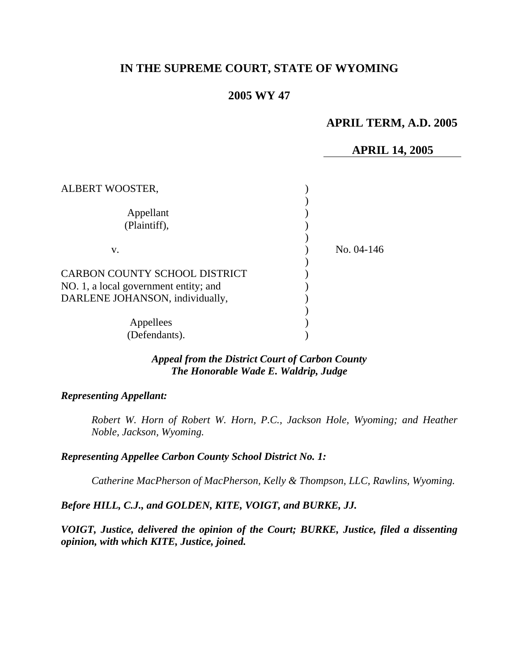# **IN THE SUPREME COURT, STATE OF WYOMING**

## **2005 WY 47**

# **APRIL TERM, A.D. 2005**

### **APRIL 14, 2005**

| ALBERT WOOSTER,                       |              |  |
|---------------------------------------|--------------|--|
|                                       |              |  |
| Appellant                             |              |  |
| (Plaintiff),                          |              |  |
|                                       |              |  |
| v.                                    | No. $04-146$ |  |
|                                       |              |  |
| CARBON COUNTY SCHOOL DISTRICT         |              |  |
| NO. 1, a local government entity; and |              |  |
| DARLENE JOHANSON, individually,       |              |  |
|                                       |              |  |
| Appellees                             |              |  |
| (Defendants).                         |              |  |

# *Appeal from the District Court of Carbon County The Honorable Wade E. Waldrip, Judge*

## *Representing Appellant:*

*Robert W. Horn of Robert W. Horn, P.C., Jackson Hole, Wyoming; and Heather Noble, Jackson, Wyoming.* 

#### *Representing Appellee Carbon County School District No. 1:*

*Catherine MacPherson of MacPherson, Kelly & Thompson, LLC, Rawlins, Wyoming.* 

*Before HILL, C.J., and GOLDEN, KITE, VOIGT, and BURKE, JJ.* 

*VOIGT, Justice, delivered the opinion of the Court; BURKE, Justice, filed a dissenting opinion, with which KITE, Justice, joined.*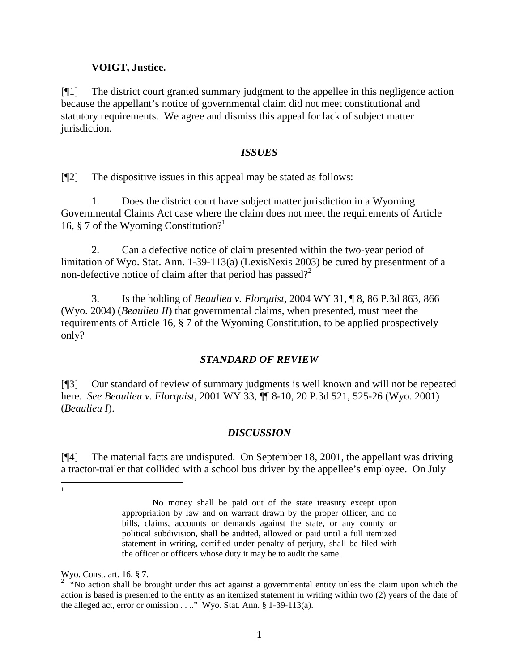## **VOIGT, Justice.**

[¶1] The district court granted summary judgment to the appellee in this negligence action because the appellant's notice of governmental claim did not meet constitutional and statutory requirements. We agree and dismiss this appeal for lack of subject matter jurisdiction.

### *ISSUES*

[¶2] The dispositive issues in this appeal may be stated as follows:

1. Does the district court have subject matter jurisdiction in a Wyoming Governmental Claims Act case where the claim does not meet the requirements of Article [1](#page-1-0)6, § 7 of the Wyoming Constitution?<sup>1</sup>

2. Can a defective notice of claim presented within the two-year period of limitation of Wyo. Stat. Ann. 1-39-113(a) (LexisNexis 2003) be cured by presentment of a non-defective notice of claim after that period has passed?<sup>[2](#page-1-1)</sup>

3. Is the holding of *Beaulieu v. Florquist,* 2004 WY 31, ¶ 8, 86 P.3d 863, 866 (Wyo. 2004) (*Beaulieu II*) that governmental claims, when presented, must meet the requirements of Article 16, § 7 of the Wyoming Constitution, to be applied prospectively only?

## *STANDARD OF REVIEW*

[¶3] Our standard of review of summary judgments is well known and will not be repeated here. *See Beaulieu v. Florquist,* 2001 WY 33, ¶¶ 8-10, 20 P.3d 521, 525-26 (Wyo. 2001) (*Beaulieu I*).

## *DISCUSSION*

[¶4] The material facts are undisputed. On September 18, 2001, the appellant was driving a tractor-trailer that collided with a school bus driven by the appellee's employee. On July

<span id="page-1-0"></span> $\frac{1}{1}$ 

No money shall be paid out of the state treasury except upon appropriation by law and on warrant drawn by the proper officer, and no bills, claims, accounts or demands against the state, or any county or political subdivision, shall be audited, allowed or paid until a full itemized statement in writing, certified under penalty of perjury, shall be filed with the officer or officers whose duty it may be to audit the same.

<span id="page-1-1"></span>

Wyo. Const. art. 16, § 7.<br><sup>2</sup> "No action shall be brought under this act against a governmental entity unless the claim upon which the action is based is presented to the entity as an itemized statement in writing within two (2) years of the date of the alleged act, error or omission . . .." Wyo. Stat. Ann. § 1-39-113(a).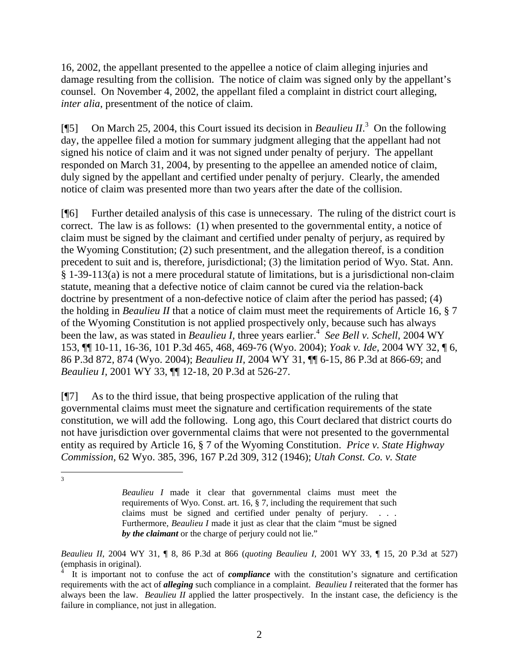16, 2002, the appellant presented to the appellee a notice of claim alleging injuries and damage resulting from the collision. The notice of claim was signed only by the appellant's counsel. On November 4, 2002, the appellant filed a complaint in district court alleging, *inter alia*, presentment of the notice of claim.

[¶5] On March 25, 2004, this Court issued its decision in *Beaulieu II*.<sup>[3](#page-2-0)</sup> On the following day, the appellee filed a motion for summary judgment alleging that the appellant had not signed his notice of claim and it was not signed under penalty of perjury. The appellant responded on March 31, 2004, by presenting to the appellee an amended notice of claim, duly signed by the appellant and certified under penalty of perjury. Clearly, the amended notice of claim was presented more than two years after the date of the collision.

[¶6] Further detailed analysis of this case is unnecessary. The ruling of the district court is correct. The law is as follows: (1) when presented to the governmental entity, a notice of claim must be signed by the claimant and certified under penalty of perjury, as required by the Wyoming Constitution; (2) such presentment, and the allegation thereof, is a condition precedent to suit and is, therefore, jurisdictional; (3) the limitation period of Wyo. Stat. Ann. § 1-39-113(a) is not a mere procedural statute of limitations, but is a jurisdictional non-claim statute, meaning that a defective notice of claim cannot be cured via the relation-back doctrine by presentment of a non-defective notice of claim after the period has passed; (4) the holding in *Beaulieu II* that a notice of claim must meet the requirements of Article 16, § 7 of the Wyoming Constitution is not applied prospectively only, because such has always beenthe law, as was stated in *Beaulieu I*, three years earlier.<sup>4</sup> See Bell v. Schell, 2004 WY 153, ¶¶ 10-11, 16-36, 101 P.3d 465, 468, 469-76 (Wyo. 2004); *Yoak v. Ide,* 2004 WY 32, ¶ 6, 86 P.3d 872, 874 (Wyo. 2004); *Beaulieu II,* 2004 WY 31, ¶¶ 6-15, 86 P.3d at 866-69; and *Beaulieu I,* 2001 WY 33, ¶¶ 12-18, 20 P.3d at 526-27.

[¶7] As to the third issue, that being prospective application of the ruling that governmental claims must meet the signature and certification requirements of the state constitution, we will add the following. Long ago, this Court declared that district courts do not have jurisdiction over governmental claims that were not presented to the governmental entity as required by Article 16, § 7 of the Wyoming Constitution. *Price v. State Highway Commission,* 62 Wyo. 385, 396, 167 P.2d 309, 312 (1946); *Utah Const. Co. v. State* 

<span id="page-2-0"></span>3

*Beaulieu II*, 2004 WY 31, ¶ 8, 86 P.3d at 866 (*quoting Beaulieu I,* 2001 WY 33, ¶ 15, 20 P.3d at 527) (emphasis in original).

*Beaulieu I* made it clear that governmental claims must meet the requirements of Wyo. Const. art. 16, § 7, including the requirement that such claims must be signed and certified under penalty of perjury. . . . Furthermore, *Beaulieu I* made it just as clear that the claim "must be signed *by the claimant* or the charge of perjury could not lie."

<span id="page-2-1"></span><sup>4</sup> It is important not to confuse the act of *compliance* with the constitution's signature and certification requirements with the act of *alleging* such compliance in a complaint. *Beaulieu I* reiterated that the former has always been the law. *Beaulieu II* applied the latter prospectively. In the instant case, the deficiency is the failure in compliance, not just in allegation.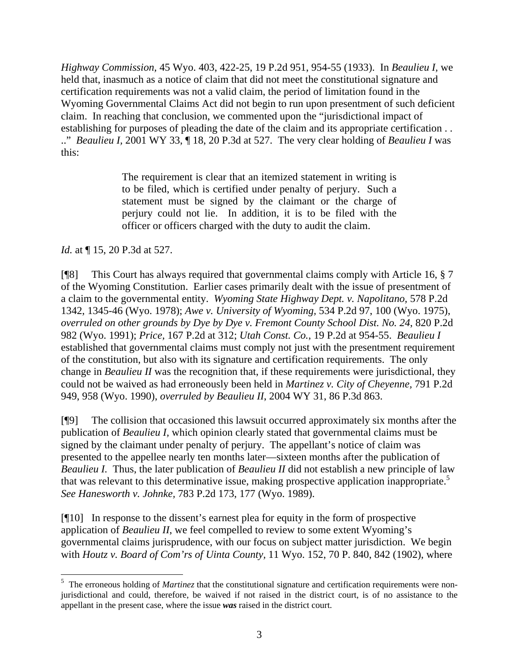*Highway Commission,* 45 Wyo. 403, 422-25, 19 P.2d 951, 954-55 (1933). In *Beaulieu I,* we held that, inasmuch as a notice of claim that did not meet the constitutional signature and certification requirements was not a valid claim, the period of limitation found in the Wyoming Governmental Claims Act did not begin to run upon presentment of such deficient claim. In reaching that conclusion, we commented upon the "jurisdictional impact of establishing for purposes of pleading the date of the claim and its appropriate certification . . .." *Beaulieu I,* 2001 WY 33, ¶ 18, 20 P.3d at 527. The very clear holding of *Beaulieu I* was this:

> The requirement is clear that an itemized statement in writing is to be filed, which is certified under penalty of perjury. Such a statement must be signed by the claimant or the charge of perjury could not lie. In addition, it is to be filed with the officer or officers charged with the duty to audit the claim.

*Id.* at  $\P$  15, 20 P.3d at 527.

[¶8] This Court has always required that governmental claims comply with Article 16, § 7 of the Wyoming Constitution. Earlier cases primarily dealt with the issue of presentment of a claim to the governmental entity. *Wyoming State Highway Dept. v. Napolitano,* 578 P.2d 1342, 1345-46 (Wyo. 1978); *Awe v. University of Wyoming,* 534 P.2d 97, 100 (Wyo. 1975), *overruled on other grounds by Dye by Dye v. Fremont County School Dist. No. 24*, 820 P.2d 982 (Wyo. 1991); *Price,* 167 P.2d at 312; *Utah Const. Co.*, 19 P.2d at 954-55. *Beaulieu I*  established that governmental claims must comply not just with the presentment requirement of the constitution, but also with its signature and certification requirements. The only change in *Beaulieu II* was the recognition that, if these requirements were jurisdictional, they could not be waived as had erroneously been held in *Martinez v. City of Cheyenne,* 791 P.2d 949, 958 (Wyo. 1990), *overruled by Beaulieu II*, 2004 WY 31, 86 P.3d 863.

[¶9] The collision that occasioned this lawsuit occurred approximately six months after the publication of *Beaulieu I,* which opinion clearly stated that governmental claims must be signed by the claimant under penalty of perjury. The appellant's notice of claim was presented to the appellee nearly ten months later—sixteen months after the publication of *Beaulieu I.* Thus, the later publication of *Beaulieu II* did not establish a new principle of law thatwas relevant to this determinative issue, making prospective application inappropriate.<sup>5</sup> *See Hanesworth v. Johnke,* 783 P.2d 173, 177 (Wyo. 1989).

[¶10] In response to the dissent's earnest plea for equity in the form of prospective application of *Beaulieu II*, we feel compelled to review to some extent Wyoming's governmental claims jurisprudence, with our focus on subject matter jurisdiction. We begin with *Houtz v. Board of Com'rs of Uinta County,* 11 Wyo. 152, 70 P. 840, 842 (1902), where

<span id="page-3-0"></span><sup>&</sup>lt;sup>5</sup> The erroneous holding of *Martinez* that the constitutional signature and certification requirements were nonjurisdictional and could, therefore, be waived if not raised in the district court, is of no assistance to the appellant in the present case, where the issue *was* raised in the district court.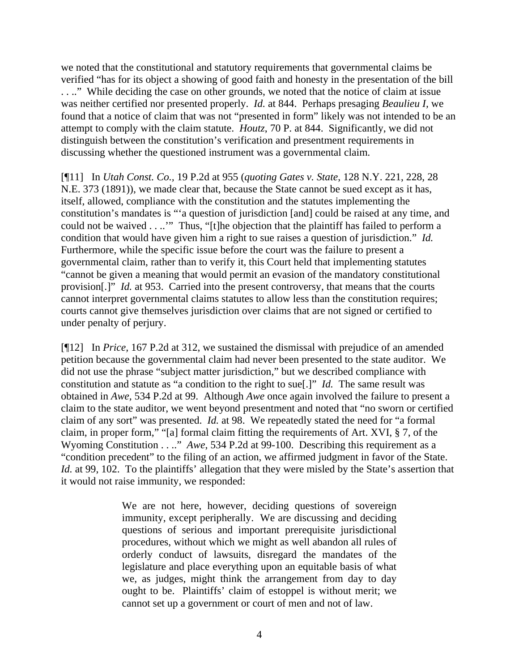we noted that the constitutional and statutory requirements that governmental claims be verified "has for its object a showing of good faith and honesty in the presentation of the bill . . .." While deciding the case on other grounds, we noted that the notice of claim at issue was neither certified nor presented properly. *Id.* at 844. Perhaps presaging *Beaulieu I,* we found that a notice of claim that was not "presented in form" likely was not intended to be an attempt to comply with the claim statute. *Houtz*, 70 P. at 844. Significantly, we did not distinguish between the constitution's verification and presentment requirements in discussing whether the questioned instrument was a governmental claim.

[¶11] In *Utah Const. Co.,* 19 P.2d at 955 (*quoting Gates v. State*, 128 N.Y. 221, 228, 28 N.E. 373 (1891)), we made clear that, because the State cannot be sued except as it has, itself, allowed, compliance with the constitution and the statutes implementing the constitution's mandates is "'a question of jurisdiction [and] could be raised at any time, and could not be waived . . ..'" Thus, "[t]he objection that the plaintiff has failed to perform a condition that would have given him a right to sue raises a question of jurisdiction." *Id.* Furthermore, while the specific issue before the court was the failure to present a governmental claim, rather than to verify it, this Court held that implementing statutes "cannot be given a meaning that would permit an evasion of the mandatory constitutional provision[.]" *Id.* at 953. Carried into the present controversy, that means that the courts cannot interpret governmental claims statutes to allow less than the constitution requires; courts cannot give themselves jurisdiction over claims that are not signed or certified to under penalty of perjury.

[¶12] In *Price,* 167 P.2d at 312, we sustained the dismissal with prejudice of an amended petition because the governmental claim had never been presented to the state auditor. We did not use the phrase "subject matter jurisdiction," but we described compliance with constitution and statute as "a condition to the right to sue[.]" *Id.* The same result was obtained in *Awe,* 534 P.2d at 99. Although *Awe* once again involved the failure to present a claim to the state auditor, we went beyond presentment and noted that "no sworn or certified claim of any sort" was presented. *Id.* at 98. We repeatedly stated the need for "a formal claim, in proper form," "[a] formal claim fitting the requirements of Art. XVI, § 7, of the Wyoming Constitution . . .." *Awe*, 534 P.2d at 99-100. Describing this requirement as a "condition precedent" to the filing of an action, we affirmed judgment in favor of the State. *Id.* at 99, 102. To the plaintiffs' allegation that they were misled by the State's assertion that it would not raise immunity, we responded:

> We are not here, however, deciding questions of sovereign immunity, except peripherally. We are discussing and deciding questions of serious and important prerequisite jurisdictional procedures, without which we might as well abandon all rules of orderly conduct of lawsuits, disregard the mandates of the legislature and place everything upon an equitable basis of what we, as judges, might think the arrangement from day to day ought to be. Plaintiffs' claim of estoppel is without merit; we cannot set up a government or court of men and not of law.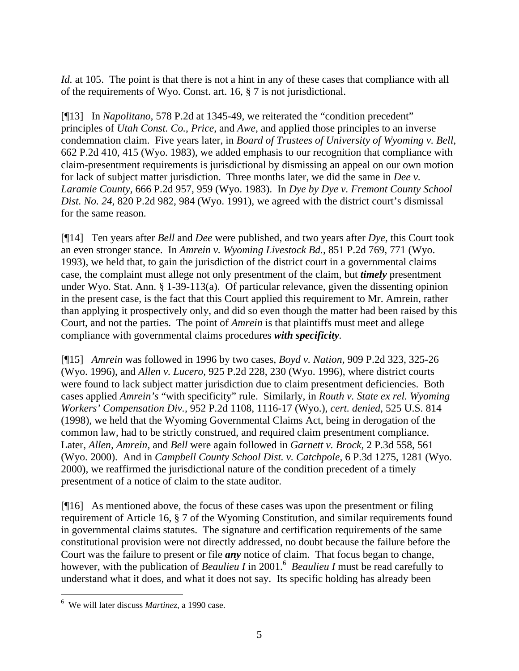*Id.* at 105. The point is that there is not a hint in any of these cases that compliance with all of the requirements of Wyo. Const. art. 16, § 7 is not jurisdictional.

[¶13] In *Napolitano,* 578 P.2d at 1345-49, we reiterated the "condition precedent" principles of *Utah Const. Co.*, *Price*, and *Awe,* and applied those principles to an inverse condemnation claim. Five years later, in *Board of Trustees of University of Wyoming v. Bell,*  662 P.2d 410, 415 (Wyo. 1983), we added emphasis to our recognition that compliance with claim-presentment requirements is jurisdictional by dismissing an appeal on our own motion for lack of subject matter jurisdiction. Three months later, we did the same in *Dee v. Laramie County,* 666 P.2d 957, 959 (Wyo. 1983). In *Dye by Dye v. Fremont County School Dist. No. 24,* 820 P.2d 982, 984 (Wyo. 1991), we agreed with the district court's dismissal for the same reason.

[¶14] Ten years after *Bell* and *Dee* were published, and two years after *Dye,* this Court took an even stronger stance. In *Amrein v. Wyoming Livestock Bd.,* 851 P.2d 769, 771 (Wyo. 1993), we held that, to gain the jurisdiction of the district court in a governmental claims case, the complaint must allege not only presentment of the claim, but *timely* presentment under Wyo. Stat. Ann. § 1-39-113(a). Of particular relevance, given the dissenting opinion in the present case, is the fact that this Court applied this requirement to Mr. Amrein, rather than applying it prospectively only, and did so even though the matter had been raised by this Court, and not the parties. The point of *Amrein* is that plaintiffs must meet and allege compliance with governmental claims procedures *with specificity.*

[¶15] *Amrein* was followed in 1996 by two cases, *Boyd v. Nation,* 909 P.2d 323, 325-26 (Wyo. 1996), and *Allen v. Lucero,* 925 P.2d 228, 230 (Wyo. 1996), where district courts were found to lack subject matter jurisdiction due to claim presentment deficiencies. Both cases applied *Amrein's* "with specificity" rule. Similarly, in *Routh v. State ex rel. Wyoming Workers' Compensation Div.,* 952 P.2d 1108, 1116-17 (Wyo.), *cert. denied*, 525 U.S. 814 (1998), we held that the Wyoming Governmental Claims Act, being in derogation of the common law, had to be strictly construed, and required claim presentment compliance. Later, *Allen, Amrein,* and *Bell* were again followed in *Garnett v. Brock,* 2 P.3d 558, 561 (Wyo. 2000). And in *Campbell County School Dist. v. Catchpole,* 6 P.3d 1275, 1281 (Wyo. 2000), we reaffirmed the jurisdictional nature of the condition precedent of a timely presentment of a notice of claim to the state auditor.

[¶16] As mentioned above, the focus of these cases was upon the presentment or filing requirement of Article 16, § 7 of the Wyoming Constitution, and similar requirements found in governmental claims statutes. The signature and certification requirements of the same constitutional provision were not directly addressed, no doubt because the failure before the Court was the failure to present or file *any* notice of claim. That focus began to change, however, with the publication of *Beaulieu I* in 2001.<sup>[6](#page-5-0)</sup> *Beaulieu I* must be read carefully to understand what it does, and what it does not say. Its specific holding has already been

 $\overline{a}$ 

<span id="page-5-0"></span><sup>6</sup> We will later discuss *Martinez,* a 1990 case.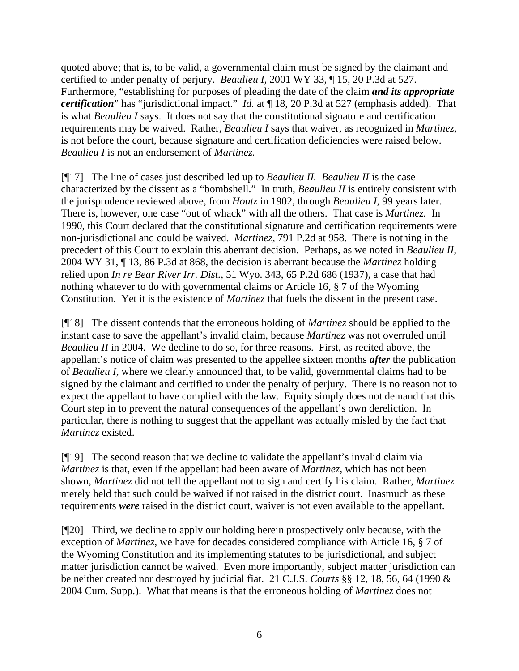quoted above; that is, to be valid, a governmental claim must be signed by the claimant and certified to under penalty of perjury. *Beaulieu I,* 2001 WY 33, ¶ 15, 20 P.3d at 527. Furthermore, "establishing for purposes of pleading the date of the claim *and its appropriate certification*" has "jurisdictional impact." *Id.* at ¶ 18, 20 P.3d at 527 (emphasis added). That is what *Beaulieu I* says. It does not say that the constitutional signature and certification requirements may be waived. Rather, *Beaulieu I* says that waiver, as recognized in *Martinez,*  is not before the court, because signature and certification deficiencies were raised below. *Beaulieu I* is not an endorsement of *Martinez.*

[¶17] The line of cases just described led up to *Beaulieu II. Beaulieu II* is the case characterized by the dissent as a "bombshell." In truth, *Beaulieu II* is entirely consistent with the jurisprudence reviewed above, from *Houtz* in 1902, through *Beaulieu I*, 99 years later. There is, however, one case "out of whack" with all the others. That case is *Martinez.* In 1990, this Court declared that the constitutional signature and certification requirements were non-jurisdictional and could be waived. *Martinez,* 791 P.2d at 958. There is nothing in the precedent of this Court to explain this aberrant decision. Perhaps, as we noted in *Beaulieu II,*  2004 WY 31, ¶ 13, 86 P.3d at 868, the decision is aberrant because the *Martinez* holding relied upon *In re Bear River Irr. Dist.,* 51 Wyo. 343, 65 P.2d 686 (1937), a case that had nothing whatever to do with governmental claims or Article 16, § 7 of the Wyoming Constitution. Yet it is the existence of *Martinez* that fuels the dissent in the present case.

[¶18] The dissent contends that the erroneous holding of *Martinez* should be applied to the instant case to save the appellant's invalid claim, because *Martinez* was not overruled until *Beaulieu II* in 2004. We decline to do so, for three reasons. First, as recited above, the appellant's notice of claim was presented to the appellee sixteen months *after* the publication of *Beaulieu I,* where we clearly announced that, to be valid, governmental claims had to be signed by the claimant and certified to under the penalty of perjury. There is no reason not to expect the appellant to have complied with the law. Equity simply does not demand that this Court step in to prevent the natural consequences of the appellant's own dereliction. In particular, there is nothing to suggest that the appellant was actually misled by the fact that *Martinez* existed.

[¶19] The second reason that we decline to validate the appellant's invalid claim via *Martinez* is that, even if the appellant had been aware of *Martinez*, which has not been shown, *Martinez* did not tell the appellant not to sign and certify his claim. Rather, *Martinez* merely held that such could be waived if not raised in the district court. Inasmuch as these requirements *were* raised in the district court, waiver is not even available to the appellant.

[¶20] Third, we decline to apply our holding herein prospectively only because, with the exception of *Martinez*, we have for decades considered compliance with Article 16, § 7 of the Wyoming Constitution and its implementing statutes to be jurisdictional, and subject matter jurisdiction cannot be waived. Even more importantly, subject matter jurisdiction can be neither created nor destroyed by judicial fiat. 21 C.J.S. *Courts* §§ 12, 18, 56, 64 (1990 & 2004 Cum. Supp.). What that means is that the erroneous holding of *Martinez* does not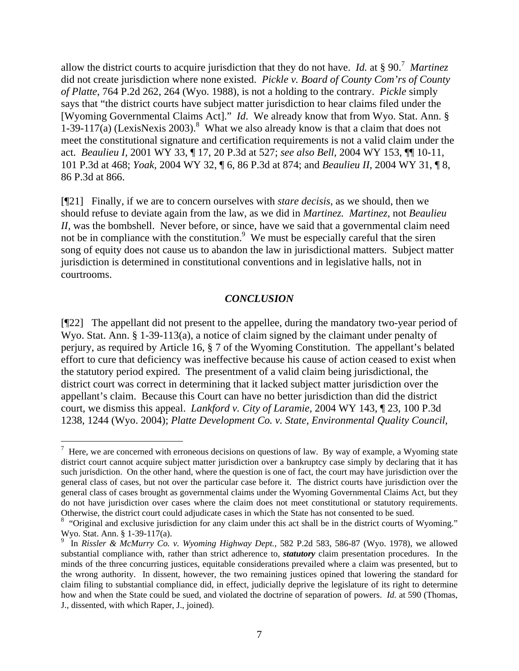allow the district courts to acquire jurisdiction that they do not have. *Id.* at § 90.[7](#page-7-0) *Martinez*  did not create jurisdiction where none existed. *Pickle v. Board of County Com'rs of County of Platte,* 764 P.2d 262, 264 (Wyo. 1988), is not a holding to the contrary. *Pickle* simply says that "the district courts have subject matter jurisdiction to hear claims filed under the [Wyoming Governmental Claims Act]." *Id*. We already know that from Wyo. Stat. Ann. § 1-39-117(a) (LexisNexis 2003).<sup>[8](#page-7-1)</sup> What we also already know is that a claim that does not meet the constitutional signature and certification requirements is not a valid claim under the act. *Beaulieu I,* 2001 WY 33, ¶ 17, 20 P.3d at 527; *see also Bell,* 2004 WY 153, ¶¶ 10-11, 101 P.3d at 468; *Yoak,* 2004 WY 32, ¶ 6, 86 P.3d at 874; and *Beaulieu II,* 2004 WY 31, ¶ 8, 86 P.3d at 866.

[¶21] Finally, if we are to concern ourselves with *stare decisis*, as we should, then we should refuse to deviate again from the law, as we did in *Martinez. Martinez,* not *Beaulieu II*, was the bombshell. Never before, or since, have we said that a governmental claim need not be in compliance with the constitution.<sup>[9](#page-7-2)</sup> We must be especially careful that the siren song of equity does not cause us to abandon the law in jurisdictional matters. Subject matter jurisdiction is determined in constitutional conventions and in legislative halls, not in courtrooms.

### *CONCLUSION*

[¶22] The appellant did not present to the appellee, during the mandatory two-year period of Wyo. Stat. Ann. § 1-39-113(a), a notice of claim signed by the claimant under penalty of perjury, as required by Article 16, § 7 of the Wyoming Constitution. The appellant's belated effort to cure that deficiency was ineffective because his cause of action ceased to exist when the statutory period expired. The presentment of a valid claim being jurisdictional, the district court was correct in determining that it lacked subject matter jurisdiction over the appellant's claim. Because this Court can have no better jurisdiction than did the district court, we dismiss this appeal. *Lankford v. City of Laramie,* 2004 WY 143, ¶ 23, 100 P.3d 1238, 1244 (Wyo. 2004); *Platte Development Co. v. State, Environmental Quality Council,* 

<span id="page-7-0"></span> $\overline{a}$  $<sup>7</sup>$  Here, we are concerned with erroneous decisions on questions of law. By way of example, a Wyoming state</sup> district court cannot acquire subject matter jurisdiction over a bankruptcy case simply by declaring that it has such jurisdiction. On the other hand, where the question is one of fact, the court may have jurisdiction over the general class of cases, but not over the particular case before it. The district courts have jurisdiction over the general class of cases brought as governmental claims under the Wyoming Governmental Claims Act, but they do not have jurisdiction over cases where the claim does not meet constitutional or statutory requirements. Otherwise, the district court could adjudicate cases in which the State has not consented to be sued. <sup>8</sup>

<span id="page-7-1"></span><sup>&</sup>lt;sup>8</sup> "Original and exclusive jurisdiction for any claim under this act shall be in the district courts of Wyoming." Wyo. Stat. Ann. § 1-39-117(a).

<span id="page-7-2"></span><sup>9</sup> In *Rissler & McMurry Co. v. Wyoming Highway Dept.,* 582 P.2d 583, 586-87 (Wyo. 1978), we allowed substantial compliance with, rather than strict adherence to, *statutory* claim presentation procedures. In the minds of the three concurring justices, equitable considerations prevailed where a claim was presented, but to the wrong authority. In dissent, however, the two remaining justices opined that lowering the standard for claim filing to substantial compliance did, in effect, judicially deprive the legislature of its right to determine how and when the State could be sued, and violated the doctrine of separation of powers. *Id.* at 590 (Thomas, J., dissented, with which Raper, J., joined).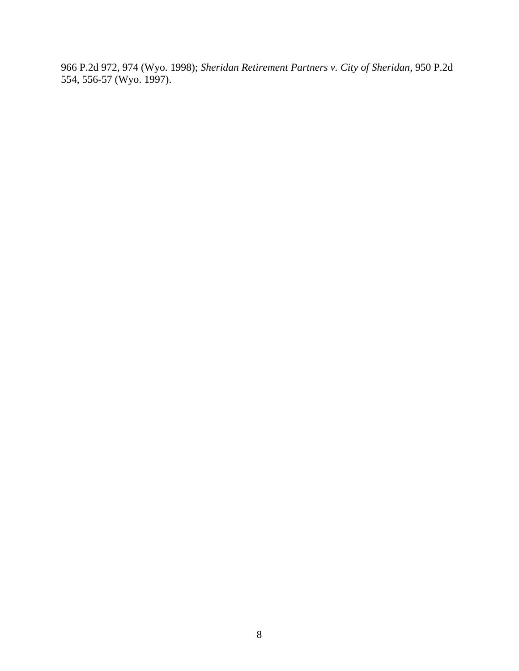966 P.2d 972, 974 (Wyo. 1998); *Sheridan Retirement Partners v. City of Sheridan,* 950 P.2d 554, 556-57 (Wyo. 1997).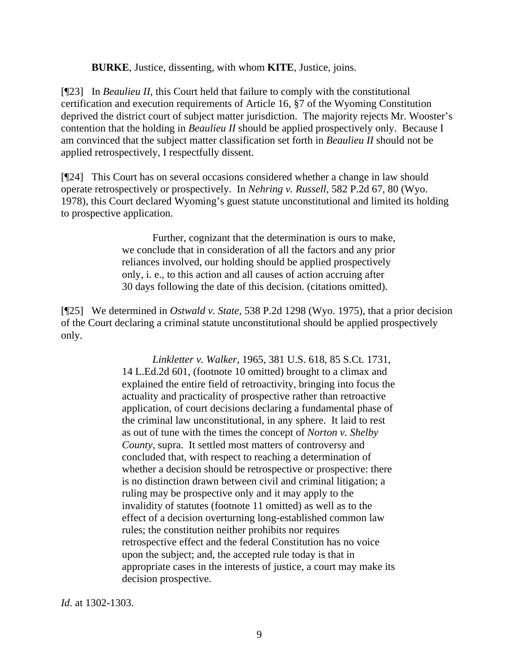**BURKE**, Justice, dissenting, with whom **KITE**, Justice, joins.

[¶23] In *Beaulieu II*, this Court held that failure to comply with the constitutional certification and execution requirements of Article 16, §7 of the Wyoming Constitution deprived the district court of subject matter jurisdiction. The majority rejects Mr. Wooster's contention that the holding in *Beaulieu II* should be applied prospectively only. Because I am convinced that the subject matter classification set forth in *Beaulieu II* should not be applied retrospectively, I respectfully dissent.

[¶24] This Court has on several occasions considered whether a change in law should operate retrospectively or prospectively. In *Nehring v. Russell,* 582 P.2d 67, 80 (Wyo. 1978), this Court declared Wyoming's guest statute unconstitutional and limited its holding to prospective application.

> Further, cognizant that the determination is ours to make, we conclude that in consideration of all the factors and any prior reliances involved, our holding should be applied prospectively only, i. e., to this action and all causes of action accruing after 30 days following the date of this decision. (citations omitted).

[¶25] We determined in *Ostwald v. State,* 538 P.2d 1298 (Wyo. 1975), that a prior decision of the Court declaring a criminal statute unconstitutional should be applied prospectively only.

> *Linkletter v. Walker*, 1965, 381 U.S. 618, 85 S.Ct. 1731, 14 L.Ed.2d 601, (footnote 10 omitted) brought to a climax and explained the entire field of retroactivity, bringing into focus the actuality and practicality of prospective rather than retroactive application, of court decisions declaring a fundamental phase of the criminal law unconstitutional, in any sphere. It laid to rest as out of tune with the times the concept of *Norton v. Shelby County*, supra. It settled most matters of controversy and concluded that, with respect to reaching a determination of whether a decision should be retrospective or prospective: there is no distinction drawn between civil and criminal litigation; a ruling may be prospective only and it may apply to the invalidity of statutes (footnote 11 omitted) as well as to the effect of a decision overturning long-established common law rules; the constitution neither prohibits nor requires retrospective effect and the federal Constitution has no voice upon the subject; and, the accepted rule today is that in appropriate cases in the interests of justice, a court may make its decision prospective.

*Id.* at 1302-1303.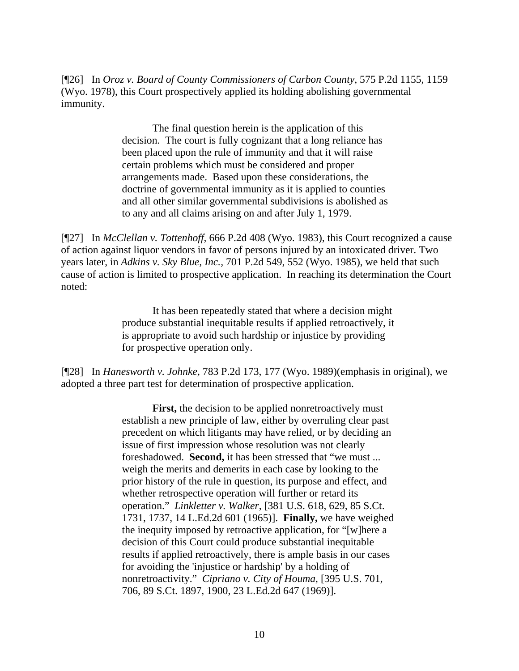[¶26] In *Oroz v. Board of County Commissioners of Carbon County,* 575 P.2d 1155, 1159 (Wyo. 1978), this Court prospectively applied its holding abolishing governmental immunity.

> The final question herein is the application of this decision. The court is fully cognizant that a long reliance has been placed upon the rule of immunity and that it will raise certain problems which must be considered and proper arrangements made. Based upon these considerations, the doctrine of governmental immunity as it is applied to counties and all other similar governmental subdivisions is abolished as to any and all claims arising on and after July 1, 1979.

[¶27] In *McClellan v. Tottenhoff,* 666 P.2d 408 (Wyo. 1983), this Court recognized a cause of action against liquor vendors in favor of persons injured by an intoxicated driver. Two years later, in *Adkins v. Sky Blue, Inc.,* 701 P.2d 549, 552 (Wyo. 1985), we held that such cause of action is limited to prospective application. In reaching its determination the Court noted:

> It has been repeatedly stated that where a decision might produce substantial inequitable results if applied retroactively, it is appropriate to avoid such hardship or injustice by providing for prospective operation only.

[¶28] In *Hanesworth v. Johnke,* 783 P.2d 173, 177 (Wyo. 1989)(emphasis in original)*,* we adopted a three part test for determination of prospective application.

> **First,** the decision to be applied nonretroactively must establish a new principle of law, either by overruling clear past precedent on which litigants may have relied, or by deciding an issue of first impression whose resolution was not clearly foreshadowed. **Second,** it has been stressed that "we must ... weigh the merits and demerits in each case by looking to the prior history of the rule in question, its purpose and effect, and whether retrospective operation will further or retard its operation." *Linkletter v. Walker*, [381 U.S. 618, 629, 85 S.Ct. 1731, 1737, 14 L.Ed.2d 601 (1965)]. **Finally,** we have weighed the inequity imposed by retroactive application, for "[w]here a decision of this Court could produce substantial inequitable results if applied retroactively, there is ample basis in our cases for avoiding the 'injustice or hardship' by a holding of nonretroactivity." *Cipriano v. City of Houma*, [395 U.S. 701, 706, 89 S.Ct. 1897, 1900, 23 L.Ed.2d 647 (1969)].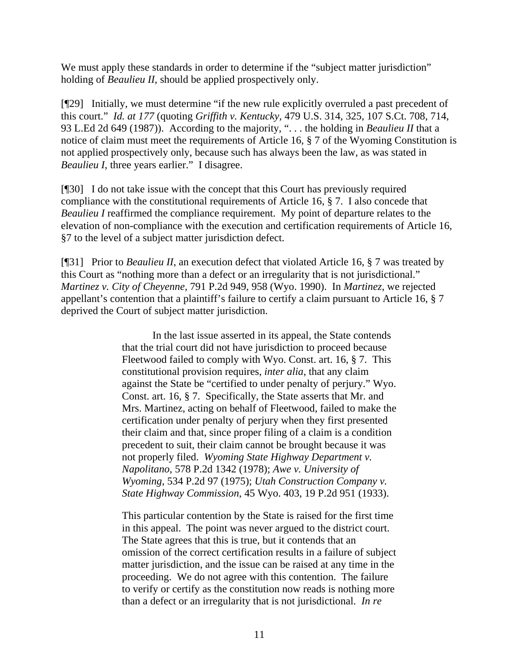We must apply these standards in order to determine if the "subject matter jurisdiction" holding of *Beaulieu II*, should be applied prospectively only.

[¶29] Initially, we must determine "if the new rule explicitly overruled a past precedent of this court." *Id. at 177* (quoting *Griffith v. Kentucky,* 479 U.S. 314, 325, 107 S.Ct. 708, 714, 93 L.Ed 2d 649 (1987)). According to the majority, ". . . the holding in *Beaulieu II* that a notice of claim must meet the requirements of Article 16, § 7 of the Wyoming Constitution is not applied prospectively only, because such has always been the law, as was stated in *Beaulieu I*, three years earlier." I disagree.

[¶30] I do not take issue with the concept that this Court has previously required compliance with the constitutional requirements of Article 16, § 7. I also concede that *Beaulieu I* reaffirmed the compliance requirement. My point of departure relates to the elevation of non-compliance with the execution and certification requirements of Article 16, §7 to the level of a subject matter jurisdiction defect.

[¶31] Prior to *Beaulieu II*, an execution defect that violated Article 16, § 7 was treated by this Court as "nothing more than a defect or an irregularity that is not jurisdictional." *Martinez v. City of Cheyenne,* 791 P.2d 949, 958 (Wyo. 1990). In *Martinez,* we rejected appellant's contention that a plaintiff's failure to certify a claim pursuant to Article 16, § 7 deprived the Court of subject matter jurisdiction.

> In the last issue asserted in its appeal, the State contends that the trial court did not have jurisdiction to proceed because Fleetwood failed to comply with Wyo. Const. art. 16, § 7. This constitutional provision requires, *inter alia*, that any claim against the State be "certified to under penalty of perjury." Wyo. Const. art. 16, § 7. Specifically, the State asserts that Mr. and Mrs. Martinez, acting on behalf of Fleetwood, failed to make the certification under penalty of perjury when they first presented their claim and that, since proper filing of a claim is a condition precedent to suit, their claim cannot be brought because it was not properly filed. *Wyoming State Highway Department v. Napolitano*, 578 P.2d 1342 (1978); *Awe v. University of Wyoming*, 534 P.2d 97 (1975); *Utah Construction Company v. State Highway Commission*, 45 Wyo. 403, 19 P.2d 951 (1933).

> This particular contention by the State is raised for the first time in this appeal. The point was never argued to the district court. The State agrees that this is true, but it contends that an omission of the correct certification results in a failure of subject matter jurisdiction, and the issue can be raised at any time in the proceeding. We do not agree with this contention. The failure to verify or certify as the constitution now reads is nothing more than a defect or an irregularity that is not jurisdictional. *In re*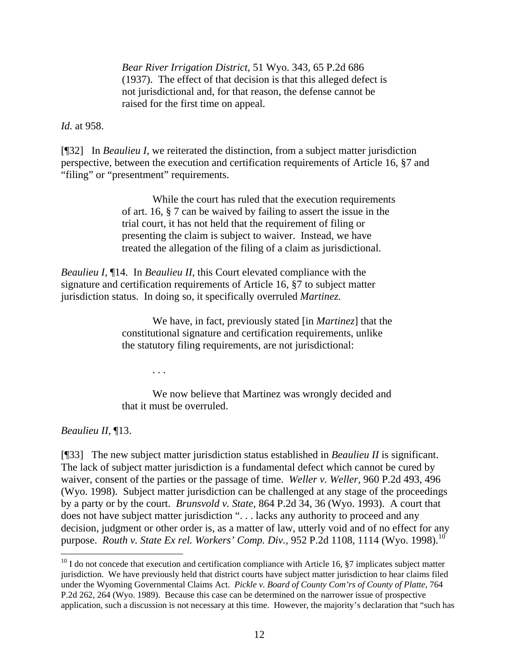*Bear River Irrigation District*, 51 Wyo. 343, 65 P.2d 686 (1937). The effect of that decision is that this alleged defect is not jurisdictional and, for that reason, the defense cannot be raised for the first time on appeal.

*Id.* at 958.

[¶32] In *Beaulieu I*, we reiterated the distinction, from a subject matter jurisdiction perspective, between the execution and certification requirements of Article 16, §7 and "filing" or "presentment" requirements.

> While the court has ruled that the execution requirements of art. 16, § 7 can be waived by failing to assert the issue in the trial court, it has not held that the requirement of filing or presenting the claim is subject to waiver. Instead, we have treated the allegation of the filing of a claim as jurisdictional.

*Beaulieu I,* ¶14. In *Beaulieu II,* this Court elevated compliance with the signature and certification requirements of Article 16, §7 to subject matter jurisdiction status. In doing so, it specifically overruled *Martinez.* 

> We have, in fact, previously stated [in *Martinez*] that the constitutional signature and certification requirements, unlike the statutory filing requirements, are not jurisdictional:

> > . . .

We now believe that Martinez was wrongly decided and that it must be overruled.

*Beaulieu II,* ¶13.

l

[¶33] The new subject matter jurisdiction status established in *Beaulieu II* is significant. The lack of subject matter jurisdiction is a fundamental defect which cannot be cured by waiver, consent of the parties or the passage of time. *Weller v. Weller,* 960 P.2d 493, 496 (Wyo. 1998). Subject matter jurisdiction can be challenged at any stage of the proceedings by a party or by the court. *Brunsvold v. State,* 864 P.2d 34, 36 (Wyo. 1993). A court that does not have subject matter jurisdiction ". . . lacks any authority to proceed and any decision, judgment or other order is, as a matter of law, utterly void and of no effect for any purpose. *Routh v. State Ex rel. Workers' Comp. Div.*, 952 P.2d 1[10](#page-12-0)8, 1114 (Wyo. 1998).<sup>10</sup>

<span id="page-12-0"></span> $10$  I do not concede that execution and certification compliance with Article 16,  $\S7$  implicates subject matter jurisdiction. We have previously held that district courts have subject matter jurisdiction to hear claims filed under the Wyoming Governmental Claims Act. *Pickle v. Board of County Com'rs of County of Platte,* 764 P.2d 262, 264 (Wyo. 1989). Because this case can be determined on the narrower issue of prospective application, such a discussion is not necessary at this time. However, the majority's declaration that "such has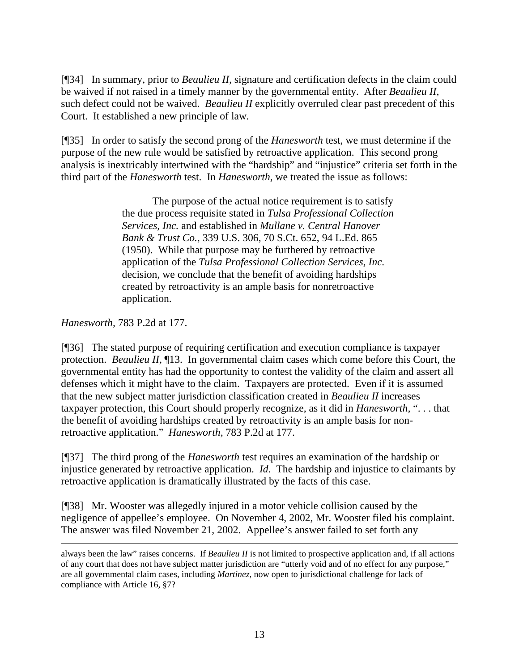[¶34] In summary, prior to *Beaulieu II,* signature and certification defects in the claim could be waived if not raised in a timely manner by the governmental entity. After *Beaulieu II,* such defect could not be waived. *Beaulieu II* explicitly overruled clear past precedent of this Court. It established a new principle of law*.*

[¶35] In order to satisfy the second prong of the *Hanesworth* test, we must determine if the purpose of the new rule would be satisfied by retroactive application. This second prong analysis is inextricably intertwined with the "hardship" and "injustice" criteria set forth in the third part of the *Hanesworth* test. In *Hanesworth,* we treated the issue as follows:

> The purpose of the actual notice requirement is to satisfy the due process requisite stated in *Tulsa Professional Collection Services, Inc.* and established in *Mullane v. Central Hanover Bank & Trust Co.*, 339 U.S. 306, 70 S.Ct. 652, 94 L.Ed. 865 (1950). While that purpose may be furthered by retroactive application of the *Tulsa Professional Collection Services, Inc.* decision, we conclude that the benefit of avoiding hardships created by retroactivity is an ample basis for nonretroactive application.

*Hanesworth,* 783 P.2d at 177.

[¶36] The stated purpose of requiring certification and execution compliance is taxpayer protection. *Beaulieu II,* ¶13. In governmental claim cases which come before this Court, the governmental entity has had the opportunity to contest the validity of the claim and assert all defenses which it might have to the claim. Taxpayers are protected. Even if it is assumed that the new subject matter jurisdiction classification created in *Beaulieu II* increases taxpayer protection, this Court should properly recognize, as it did in *Hanesworth,* ". . . that the benefit of avoiding hardships created by retroactivity is an ample basis for nonretroactive application." *Hanesworth,* 783 P.2d at 177.

[¶37] The third prong of the *Hanesworth* test requires an examination of the hardship or injustice generated by retroactive application. *Id.* The hardship and injustice to claimants by retroactive application is dramatically illustrated by the facts of this case.

[¶38] Mr. Wooster was allegedly injured in a motor vehicle collision caused by the negligence of appellee's employee. On November 4, 2002, Mr. Wooster filed his complaint. The answer was filed November 21, 2002. Appellee's answer failed to set forth any

always been the law" raises concerns. If *Beaulieu II* is not limited to prospective application and, if all actions of any court that does not have subject matter jurisdiction are "utterly void and of no effect for any purpose," are all governmental claim cases, including *Martinez*, now open to jurisdictional challenge for lack of compliance with Article 16, §7?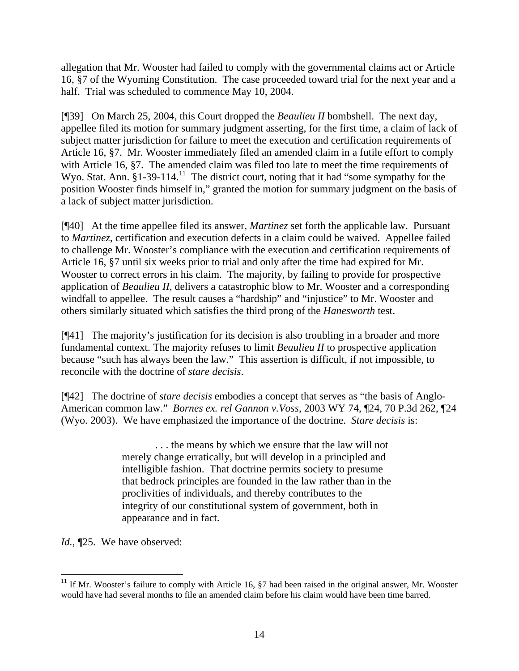allegation that Mr. Wooster had failed to comply with the governmental claims act or Article 16, §7 of the Wyoming Constitution. The case proceeded toward trial for the next year and a half. Trial was scheduled to commence May 10, 2004.

[¶39] On March 25, 2004, this Court dropped the *Beaulieu II* bombshell. The next day, appellee filed its motion for summary judgment asserting, for the first time, a claim of lack of subject matter jurisdiction for failure to meet the execution and certification requirements of Article 16, §7. Mr. Wooster immediately filed an amended claim in a futile effort to comply with Article 16, §7. The amended claim was filed too late to meet the time requirements of Wyo. Stat. Ann. §1-39-114.<sup>11</sup> The district court, noting that it had "some sympathy for the position Wooster finds himself in," granted the motion for summary judgment on the basis of a lack of subject matter jurisdiction.

[¶40] At the time appellee filed its answer, *Martinez* set forth the applicable law. Pursuant to *Martinez*, certification and execution defects in a claim could be waived. Appellee failed to challenge Mr. Wooster's compliance with the execution and certification requirements of Article 16, §7 until six weeks prior to trial and only after the time had expired for Mr. Wooster to correct errors in his claim. The majority, by failing to provide for prospective application of *Beaulieu II*, delivers a catastrophic blow to Mr. Wooster and a corresponding windfall to appellee. The result causes a "hardship" and "injustice" to Mr. Wooster and others similarly situated which satisfies the third prong of the *Hanesworth* test.

[¶41] The majority's justification for its decision is also troubling in a broader and more fundamental context. The majority refuses to limit *Beaulieu II* to prospective application because "such has always been the law." This assertion is difficult, if not impossible, to reconcile with the doctrine of *stare decisis*.

[¶42] The doctrine of *stare decisis* embodies a concept that serves as "the basis of Anglo-American common law." *Bornes ex. rel Gannon v.Voss*, 2003 WY 74, ¶24, 70 P.3d 262, ¶24 (Wyo. 2003). We have emphasized the importance of the doctrine. *Stare decisis* is:

> . . . the means by which we ensure that the law will not merely change erratically, but will develop in a principled and intelligible fashion. That doctrine permits society to presume that bedrock principles are founded in the law rather than in the proclivities of individuals, and thereby contributes to the integrity of our constitutional system of government, both in appearance and in fact.

*Id.,* ¶25. We have observed:

<span id="page-14-0"></span><sup>&</sup>lt;sup>11</sup> If Mr. Wooster's failure to comply with Article 16,  $\S7$  had been raised in the original answer, Mr. Wooster would have had several months to file an amended claim before his claim would have been time barred.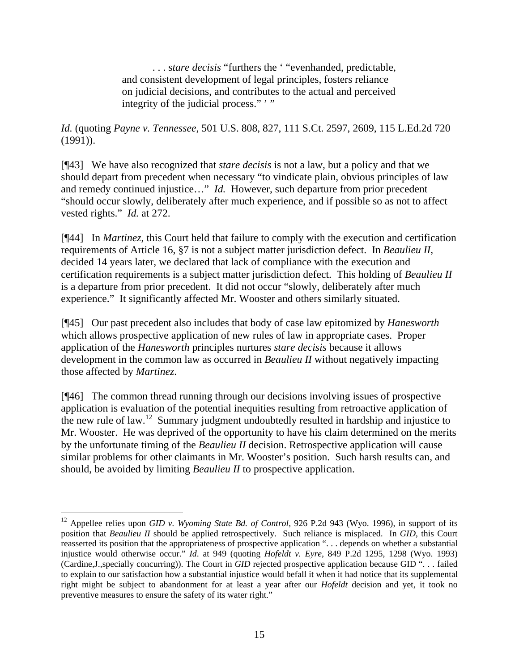. . . s*tare decisis* "furthers the ' "evenhanded, predictable, and consistent development of legal principles, fosters reliance on judicial decisions, and contributes to the actual and perceived integrity of the judicial process.""

*Id.* (quoting *Payne v. Tennessee*, 501 U.S. 808, 827, 111 S.Ct. 2597, 2609, 115 L.Ed.2d 720 (1991)).

[¶43] We have also recognized that *stare decisis* is not a law, but a policy and that we should depart from precedent when necessary "to vindicate plain, obvious principles of law and remedy continued injustice…" *Id.* However, such departure from prior precedent "should occur slowly, deliberately after much experience, and if possible so as not to affect vested rights." *Id.* at 272.

[¶44] In *Martinez*, this Court held that failure to comply with the execution and certification requirements of Article 16, §7 is not a subject matter jurisdiction defect. In *Beaulieu II*, decided 14 years later, we declared that lack of compliance with the execution and certification requirements is a subject matter jurisdiction defect. This holding of *Beaulieu II* is a departure from prior precedent. It did not occur "slowly, deliberately after much experience." It significantly affected Mr. Wooster and others similarly situated.

[¶45] Our past precedent also includes that body of case law epitomized by *Hanesworth* which allows prospective application of new rules of law in appropriate cases. Proper application of the *Hanesworth* principles nurtures *stare decisis* because it allows development in the common law as occurred in *Beaulieu II* without negatively impacting those affected by *Martinez*.

[¶46] The common thread running through our decisions involving issues of prospective application is evaluation of the potential inequities resulting from retroactive application of the new rule of law.[12](#page-15-0) Summary judgment undoubtedly resulted in hardship and injustice to Mr. Wooster. He was deprived of the opportunity to have his claim determined on the merits by the unfortunate timing of the *Beaulieu II* decision. Retrospective application will cause similar problems for other claimants in Mr. Wooster's position. Such harsh results can, and should, be avoided by limiting *Beaulieu II* to prospective application.

 $\overline{a}$ 

<span id="page-15-0"></span><sup>12</sup> Appellee relies upon *GID v. Wyoming State Bd. of Control,* 926 P.2d 943 (Wyo. 1996), in support of its position that *Beaulieu II* should be applied retrospectively. Such reliance is misplaced. In *GID*, this Court reasserted its position that the appropriateness of prospective application ". . . depends on whether a substantial injustice would otherwise occur." *Id*. at 949 (quoting *Hofeldt v. Eyre,* 849 P.2d 1295, 1298 (Wyo. 1993) (Cardine,J.,specially concurring)). The Court in *GID* rejected prospective application because GID ". . . failed to explain to our satisfaction how a substantial injustice would befall it when it had notice that its supplemental right might be subject to abandonment for at least a year after our *Hofeldt* decision and yet, it took no preventive measures to ensure the safety of its water right."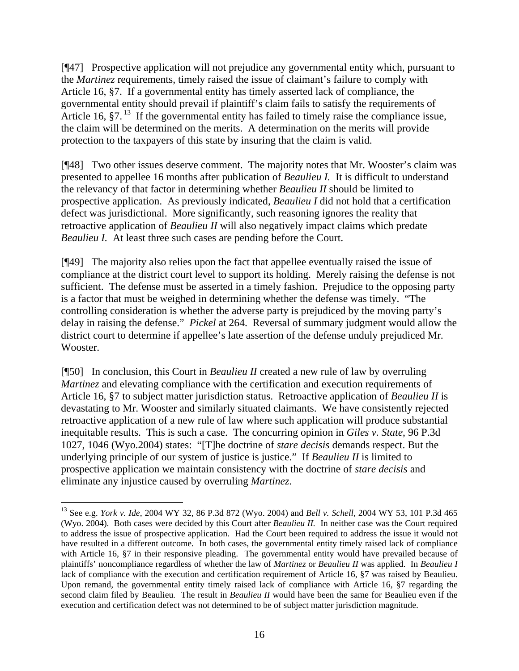[¶47] Prospective application will not prejudice any governmental entity which, pursuant to the *Martinez* requirements, timely raised the issue of claimant's failure to comply with Article 16, §7. If a governmental entity has timely asserted lack of compliance, the governmental entity should prevail if plaintiff's claim fails to satisfy the requirements of Article 16,  $\S7$ .<sup>13</sup> If the governmental entity has failed to timely raise the compliance issue, the claim will be determined on the merits. A determination on the merits will provide protection to the taxpayers of this state by insuring that the claim is valid.

[¶48] Two other issues deserve comment. The majority notes that Mr. Wooster's claim was presented to appellee 16 months after publication of *Beaulieu I.* It is difficult to understand the relevancy of that factor in determining whether *Beaulieu II* should be limited to prospective application. As previously indicated, *Beaulieu I* did not hold that a certification defect was jurisdictional. More significantly, such reasoning ignores the reality that retroactive application of *Beaulieu II* will also negatively impact claims which predate *Beaulieu I.* At least three such cases are pending before the Court.

[¶49] The majority also relies upon the fact that appellee eventually raised the issue of compliance at the district court level to support its holding. Merely raising the defense is not sufficient. The defense must be asserted in a timely fashion. Prejudice to the opposing party is a factor that must be weighed in determining whether the defense was timely. "The controlling consideration is whether the adverse party is prejudiced by the moving party's delay in raising the defense." *Pickel* at 264. Reversal of summary judgment would allow the district court to determine if appellee's late assertion of the defense unduly prejudiced Mr. Wooster.

[¶50] In conclusion, this Court in *Beaulieu II* created a new rule of law by overruling *Martinez* and elevating compliance with the certification and execution requirements of Article 16, §7 to subject matter jurisdiction status. Retroactive application of *Beaulieu II* is devastating to Mr. Wooster and similarly situated claimants. We have consistently rejected retroactive application of a new rule of law where such application will produce substantial inequitable results. This is such a case. The concurring opinion in *Giles v. State*, 96 P.3d 1027, 1046 (Wyo.2004) states: "[T]he doctrine of *stare decisis* demands respect. But the underlying principle of our system of justice is justice." If *Beaulieu II* is limited to prospective application we maintain consistency with the doctrine of *stare decisis* and eliminate any injustice caused by overruling *Martinez*.

l

<span id="page-16-0"></span><sup>13</sup> See e.g. *York v. Ide*, 2004 WY 32, 86 P.3d 872 (Wyo. 2004) and *Bell v. Schell,* 2004 WY 53, 101 P.3d 465 (Wyo. 2004). Both cases were decided by this Court after *Beaulieu II.* In neither case was the Court required to address the issue of prospective application. Had the Court been required to address the issue it would not have resulted in a different outcome. In both cases, the governmental entity timely raised lack of compliance with Article 16, §7 in their responsive pleading. The governmental entity would have prevailed because of plaintiffs' noncompliance regardless of whether the law of *Martinez* or *Beaulieu II* was applied. In *Beaulieu I* lack of compliance with the execution and certification requirement of Article 16, §7 was raised by Beaulieu. Upon remand, the governmental entity timely raised lack of compliance with Article 16, §7 regarding the second claim filed by Beaulieu*.* The result in *Beaulieu II* would have been the same for Beaulieu even if the execution and certification defect was not determined to be of subject matter jurisdiction magnitude.